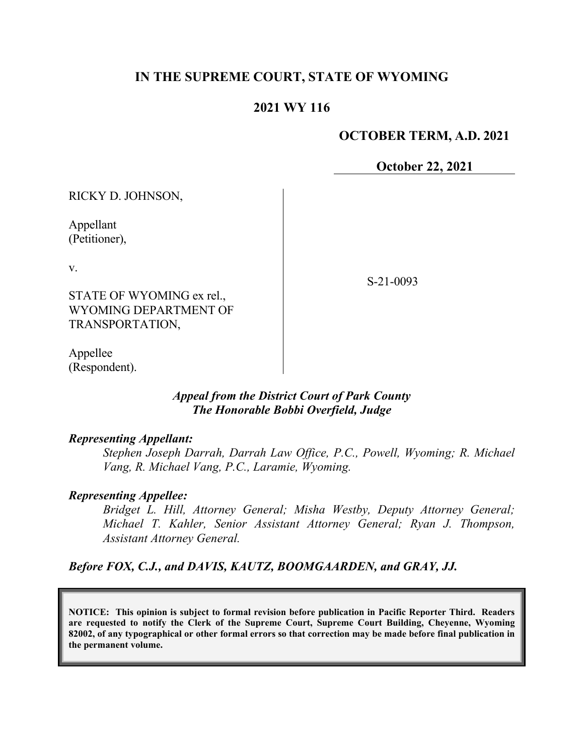# **IN THE SUPREME COURT, STATE OF WYOMING**

## **2021 WY 116**

### **OCTOBER TERM, A.D. 2021**

**October 22, 2021**

RICKY D. JOHNSON,

Appellant (Petitioner),

v.

STATE OF WYOMING ex rel., WYOMING DEPARTMENT OF TRANSPORTATION,

S-21-0093

Appellee (Respondent).

## *Appeal from the District Court of Park County The Honorable Bobbi Overfield, Judge*

#### *Representing Appellant:*

*Stephen Joseph Darrah, Darrah Law Office, P.C., Powell, Wyoming; R. Michael Vang, R. Michael Vang, P.C., Laramie, Wyoming.*

### *Representing Appellee:*

*Bridget L. Hill, Attorney General; Misha Westby, Deputy Attorney General; Michael T. Kahler, Senior Assistant Attorney General; Ryan J. Thompson, Assistant Attorney General.*

*Before FOX, C.J., and DAVIS, KAUTZ, BOOMGAARDEN, and GRAY, JJ.*

**NOTICE: This opinion is subject to formal revision before publication in Pacific Reporter Third. Readers are requested to notify the Clerk of the Supreme Court, Supreme Court Building, Cheyenne, Wyoming 82002, of any typographical or other formal errors so that correction may be made before final publication in the permanent volume.**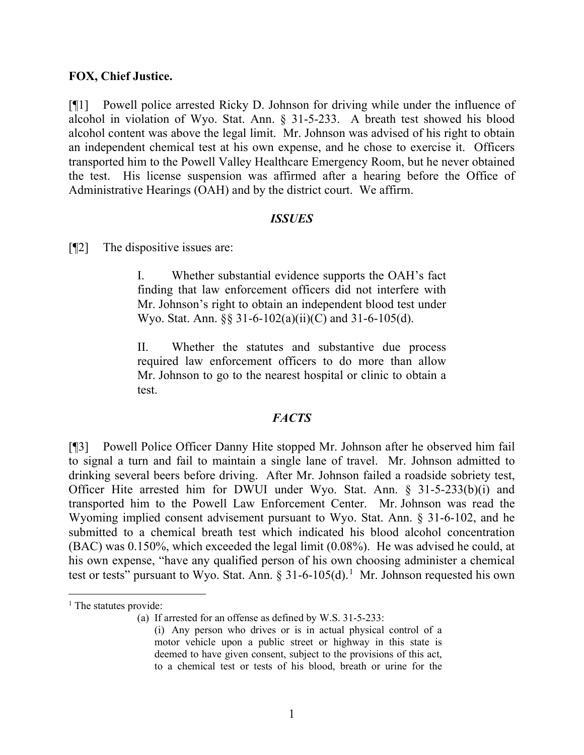#### **FOX, Chief Justice.**

[¶1] Powell police arrested Ricky D. Johnson for driving while under the influence of alcohol in violation of Wyo. Stat. Ann. § 31-5-233. A breath test showed his blood alcohol content was above the legal limit. Mr. Johnson was advised of his right to obtain an independent chemical test at his own expense, and he chose to exercise it. Officers transported him to the Powell Valley Healthcare Emergency Room, but he never obtained the test. His license suspension was affirmed after a hearing before the Office of Administrative Hearings (OAH) and by the district court. We affirm.

#### *ISSUES*

[¶2] The dispositive issues are:

I. Whether substantial evidence supports the OAH's fact finding that law enforcement officers did not interfere with Mr. Johnson's right to obtain an independent blood test under Wyo. Stat. Ann. §§ 31-6-102(a)(ii)(C) and 31-6-105(d).

II. Whether the statutes and substantive due process required law enforcement officers to do more than allow Mr. Johnson to go to the nearest hospital or clinic to obtain a test.

### *FACTS*

[¶3] Powell Police Officer Danny Hite stopped Mr. Johnson after he observed him fail to signal a turn and fail to maintain a single lane of travel. Mr. Johnson admitted to drinking several beers before driving. After Mr. Johnson failed a roadside sobriety test, Officer Hite arrested him for DWUI under Wyo. Stat. Ann. § 31-5-233(b)(i) and transported him to the Powell Law Enforcement Center. Mr. Johnson was read the Wyoming implied consent advisement pursuant to Wyo. Stat. Ann. § 31-6-102, and he submitted to a chemical breath test which indicated his blood alcohol concentration (BAC) was 0.150%, which exceeded the legal limit (0.08%). He was advised he could, at his own expense, "have any qualified person of his own choosing administer a chemical test or tests" pursuant to Wyo. Stat. Ann.  $\S 31-6-105(d)$  $\S 31-6-105(d)$  $\S 31-6-105(d)$ .<sup>1</sup> Mr. Johnson requested his own

<span id="page-1-0"></span><sup>&</sup>lt;sup>1</sup> The statutes provide:

<sup>(</sup>a) If arrested for an offense as defined by W.S. 31-5-233:

<sup>(</sup>i) Any person who drives or is in actual physical control of a motor vehicle upon a public street or highway in this state is deemed to have given consent, subject to the provisions of this act, to a chemical test or tests of his blood, breath or urine for the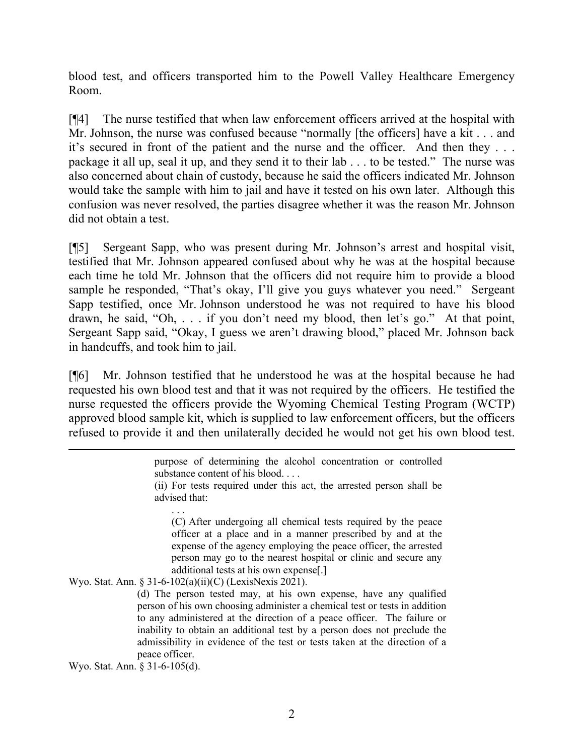blood test, and officers transported him to the Powell Valley Healthcare Emergency Room.

[¶4] The nurse testified that when law enforcement officers arrived at the hospital with Mr. Johnson, the nurse was confused because "normally [the officers] have a kit . . . and it's secured in front of the patient and the nurse and the officer. And then they . . . package it all up, seal it up, and they send it to their lab . . . to be tested." The nurse was also concerned about chain of custody, because he said the officers indicated Mr. Johnson would take the sample with him to jail and have it tested on his own later. Although this confusion was never resolved, the parties disagree whether it was the reason Mr. Johnson did not obtain a test.

[¶5] Sergeant Sapp, who was present during Mr. Johnson's arrest and hospital visit, testified that Mr. Johnson appeared confused about why he was at the hospital because each time he told Mr. Johnson that the officers did not require him to provide a blood sample he responded, "That's okay, I'll give you guys whatever you need." Sergeant Sapp testified, once Mr. Johnson understood he was not required to have his blood drawn, he said, "Oh, . . . if you don't need my blood, then let's go." At that point, Sergeant Sapp said, "Okay, I guess we aren't drawing blood," placed Mr. Johnson back in handcuffs, and took him to jail.

[¶6] Mr. Johnson testified that he understood he was at the hospital because he had requested his own blood test and that it was not required by the officers. He testified the nurse requested the officers provide the Wyoming Chemical Testing Program (WCTP) approved blood sample kit, which is supplied to law enforcement officers, but the officers refused to provide it and then unilaterally decided he would not get his own blood test.

> purpose of determining the alcohol concentration or controlled substance content of his blood. . . . (ii) For tests required under this act, the arrested person shall be advised that:

. . . (C) After undergoing all chemical tests required by the peace officer at a place and in a manner prescribed by and at the expense of the agency employing the peace officer, the arrested person may go to the nearest hospital or clinic and secure any additional tests at his own expense[.]

Wyo. Stat. Ann. § 31-6-102(a)(ii)(C) (LexisNexis 2021).

(d) The person tested may, at his own expense, have any qualified person of his own choosing administer a chemical test or tests in addition to any administered at the direction of a peace officer. The failure or inability to obtain an additional test by a person does not preclude the admissibility in evidence of the test or tests taken at the direction of a peace officer.

Wyo. Stat. Ann. § 31-6-105(d).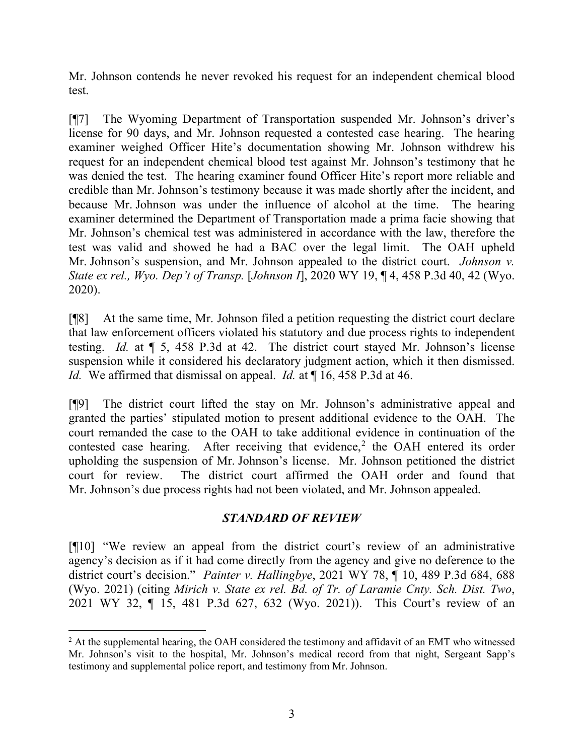Mr. Johnson contends he never revoked his request for an independent chemical blood test.

[¶7] The Wyoming Department of Transportation suspended Mr. Johnson's driver's license for 90 days, and Mr. Johnson requested a contested case hearing. The hearing examiner weighed Officer Hite's documentation showing Mr. Johnson withdrew his request for an independent chemical blood test against Mr. Johnson's testimony that he was denied the test. The hearing examiner found Officer Hite's report more reliable and credible than Mr. Johnson's testimony because it was made shortly after the incident, and because Mr. Johnson was under the influence of alcohol at the time. The hearing examiner determined the Department of Transportation made a prima facie showing that Mr. Johnson's chemical test was administered in accordance with the law, therefore the test was valid and showed he had a BAC over the legal limit. The OAH upheld Mr. Johnson's suspension, and Mr. Johnson appealed to the district court. *Johnson v. State ex rel., Wyo. Dep't of Transp.* [*Johnson I*], 2020 WY 19, ¶ 4, 458 P.3d 40, 42 (Wyo. 2020).

[¶8] At the same time, Mr. Johnson filed a petition requesting the district court declare that law enforcement officers violated his statutory and due process rights to independent testing. *Id.* at ¶ 5, 458 P.3d at 42. The district court stayed Mr. Johnson's license suspension while it considered his declaratory judgment action, which it then dismissed. *Id.* We affirmed that dismissal on appeal. *Id.* at  $\P$  16, 458 P.3d at 46.

[¶9] The district court lifted the stay on Mr. Johnson's administrative appeal and granted the parties' stipulated motion to present additional evidence to the OAH. The court remanded the case to the OAH to take additional evidence in continuation of the contested case hearing. After receiving that evidence, [2](#page-3-0) the OAH entered its order upholding the suspension of Mr. Johnson's license. Mr. Johnson petitioned the district court for review. The district court affirmed the OAH order and found that Mr. Johnson's due process rights had not been violated, and Mr. Johnson appealed.

## *STANDARD OF REVIEW*

[¶10] "We review an appeal from the district court's review of an administrative agency's decision as if it had come directly from the agency and give no deference to the district court's decision." *Painter v. Hallingbye*, 2021 WY 78, ¶ 10, 489 P.3d 684, 688 (Wyo. 2021) (citing *Mirich v. State ex rel. Bd. of Tr. of Laramie Cnty. Sch. Dist. Two*, 2021 WY 32, ¶ 15, 481 P.3d 627, 632 (Wyo. 2021)). This Court's review of an

<span id="page-3-0"></span><sup>&</sup>lt;sup>2</sup> At the supplemental hearing, the OAH considered the testimony and affidavit of an EMT who witnessed Mr. Johnson's visit to the hospital, Mr. Johnson's medical record from that night, Sergeant Sapp's testimony and supplemental police report, and testimony from Mr. Johnson.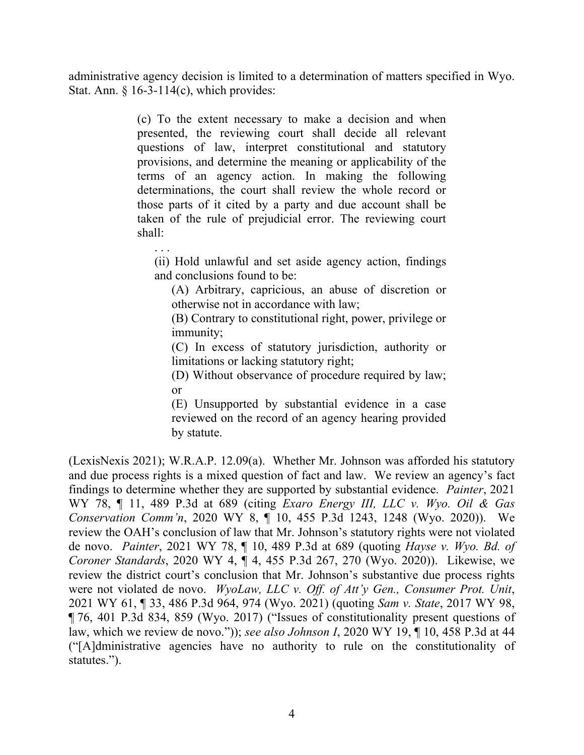administrative agency decision is limited to a determination of matters specified in Wyo. Stat. Ann.  $\S$  16-3-114(c), which provides:

> (c) To the extent necessary to make a decision and when presented, the reviewing court shall decide all relevant questions of law, interpret constitutional and statutory provisions, and determine the meaning or applicability of the terms of an agency action. In making the following determinations, the court shall review the whole record or those parts of it cited by a party and due account shall be taken of the rule of prejudicial error. The reviewing court shall:

(ii) Hold unlawful and set aside agency action, findings and conclusions found to be:

. . .

(A) Arbitrary, capricious, an abuse of discretion or otherwise not in accordance with law;

(B) Contrary to constitutional right, power, privilege or immunity;

(C) In excess of statutory jurisdiction, authority or limitations or lacking statutory right;

(D) Without observance of procedure required by law; or

(E) Unsupported by substantial evidence in a case reviewed on the record of an agency hearing provided by statute.

(LexisNexis 2021); W.R.A.P. 12.09(a). Whether Mr. Johnson was afforded his statutory and due process rights is a mixed question of fact and law. We review an agency's fact findings to determine whether they are supported by substantial evidence. *Painter*, 2021 WY 78, ¶ 11, 489 P.3d at 689 (citing *Exaro Energy III, LLC v. Wyo. Oil & Gas Conservation Comm'n*, 2020 WY 8, ¶ 10, 455 P.3d 1243, 1248 (Wyo. 2020)). We review the OAH's conclusion of law that Mr. Johnson's statutory rights were not violated de novo. *Painter*, 2021 WY 78, ¶ 10, 489 P.3d at 689 (quoting *Hayse v. Wyo. Bd. of Coroner Standards*, 2020 WY 4, ¶ 4, 455 P.3d 267, 270 (Wyo. 2020)). Likewise, we review the district court's conclusion that Mr. Johnson's substantive due process rights were not violated de novo. *WyoLaw, LLC v. Off. of Att'y Gen., Consumer Prot. Unit*, 2021 WY 61, ¶ 33, 486 P.3d 964, 974 (Wyo. 2021) (quoting *Sam v. State*, 2017 WY 98, ¶ 76, 401 P.3d 834, 859 (Wyo. 2017) ("Issues of constitutionality present questions of law, which we review de novo.")); *see also Johnson I*, 2020 WY 19, ¶ 10, 458 P.3d at 44 ("[A]dministrative agencies have no authority to rule on the constitutionality of statutes.").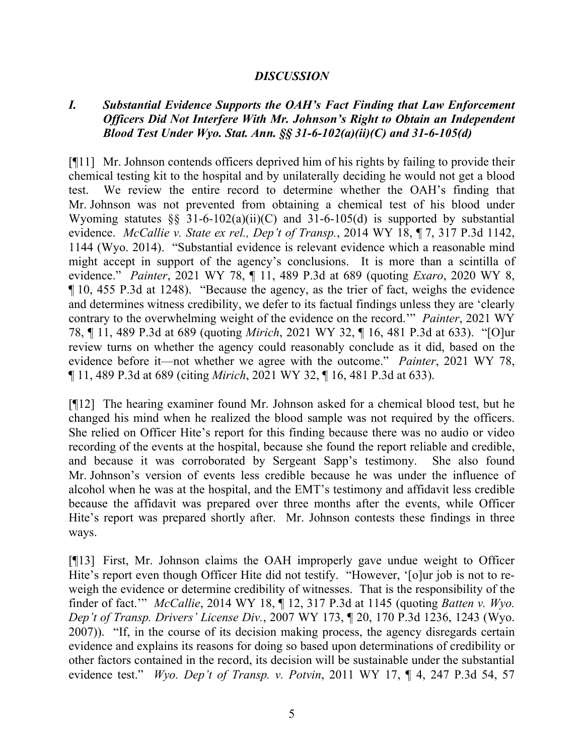### *DISCUSSION*

# *I. Substantial Evidence Supports the OAH's Fact Finding that Law Enforcement Officers Did Not Interfere With Mr. Johnson's Right to Obtain an Independent Blood Test Under Wyo. Stat. Ann. §§ 31-6-102(a)(ii)(C) and 31-6-105(d)*

[¶11] Mr. Johnson contends officers deprived him of his rights by failing to provide their chemical testing kit to the hospital and by unilaterally deciding he would not get a blood test. We review the entire record to determine whether the OAH's finding that Mr. Johnson was not prevented from obtaining a chemical test of his blood under Wyoming statutes  $\S$ § 31-6-102(a)(ii)(C) and 31-6-105(d) is supported by substantial evidence. *McCallie v. State ex rel., Dep't of Transp.*, 2014 WY 18, ¶ 7, 317 P.3d 1142, 1144 (Wyo. 2014). "Substantial evidence is relevant evidence which a reasonable mind might accept in support of the agency's conclusions. It is more than a scintilla of evidence." *Painter*, 2021 WY 78, ¶ 11, 489 P.3d at 689 (quoting *Exaro*, 2020 WY 8, ¶ 10, 455 P.3d at 1248). "Because the agency, as the trier of fact, weighs the evidence and determines witness credibility, we defer to its factual findings unless they are 'clearly contrary to the overwhelming weight of the evidence on the record.'" *Painter*, 2021 WY 78, ¶ 11, 489 P.3d at 689 (quoting *Mirich*, 2021 WY 32, ¶ 16, 481 P.3d at 633). "[O]ur review turns on whether the agency could reasonably conclude as it did, based on the evidence before it—not whether we agree with the outcome." *Painter*, 2021 WY 78, ¶ 11, 489 P.3d at 689 (citing *Mirich*, 2021 WY 32, ¶ 16, 481 P.3d at 633).

[¶12] The hearing examiner found Mr. Johnson asked for a chemical blood test, but he changed his mind when he realized the blood sample was not required by the officers. She relied on Officer Hite's report for this finding because there was no audio or video recording of the events at the hospital, because she found the report reliable and credible, and because it was corroborated by Sergeant Sapp's testimony. She also found Mr. Johnson's version of events less credible because he was under the influence of alcohol when he was at the hospital, and the EMT's testimony and affidavit less credible because the affidavit was prepared over three months after the events, while Officer Hite's report was prepared shortly after. Mr. Johnson contests these findings in three ways.

[¶13] First, Mr. Johnson claims the OAH improperly gave undue weight to Officer Hite's report even though Officer Hite did not testify. "However, '[o]ur job is not to reweigh the evidence or determine credibility of witnesses. That is the responsibility of the finder of fact.'" *McCallie*, 2014 WY 18, ¶ 12, 317 P.3d at 1145 (quoting *Batten v. Wyo. Dep't of Transp. Drivers' License Div.*, 2007 WY 173, ¶ 20, 170 P.3d 1236, 1243 (Wyo. 2007)). "If, in the course of its decision making process, the agency disregards certain evidence and explains its reasons for doing so based upon determinations of credibility or other factors contained in the record, its decision will be sustainable under the substantial evidence test." *Wyo. Dep't of Transp. v. Potvin*, 2011 WY 17, ¶ 4, 247 P.3d 54, 57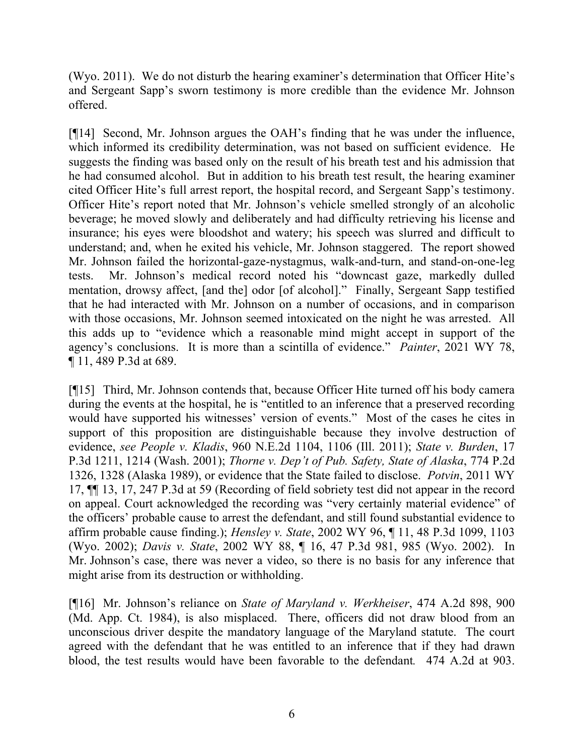(Wyo. 2011). We do not disturb the hearing examiner's determination that Officer Hite's and Sergeant Sapp's sworn testimony is more credible than the evidence Mr. Johnson offered.

[¶14] Second, Mr. Johnson argues the OAH's finding that he was under the influence, which informed its credibility determination, was not based on sufficient evidence. He suggests the finding was based only on the result of his breath test and his admission that he had consumed alcohol. But in addition to his breath test result, the hearing examiner cited Officer Hite's full arrest report, the hospital record, and Sergeant Sapp's testimony. Officer Hite's report noted that Mr. Johnson's vehicle smelled strongly of an alcoholic beverage; he moved slowly and deliberately and had difficulty retrieving his license and insurance; his eyes were bloodshot and watery; his speech was slurred and difficult to understand; and, when he exited his vehicle, Mr. Johnson staggered. The report showed Mr. Johnson failed the horizontal-gaze-nystagmus, walk-and-turn, and stand-on-one-leg tests. Mr. Johnson's medical record noted his "downcast gaze, markedly dulled mentation, drowsy affect, [and the] odor [of alcohol]." Finally, Sergeant Sapp testified that he had interacted with Mr. Johnson on a number of occasions, and in comparison with those occasions, Mr. Johnson seemed intoxicated on the night he was arrested. All this adds up to "evidence which a reasonable mind might accept in support of the agency's conclusions. It is more than a scintilla of evidence." *Painter*, 2021 WY 78, ¶ 11, 489 P.3d at 689.

[¶15] Third, Mr. Johnson contends that, because Officer Hite turned off his body camera during the events at the hospital, he is "entitled to an inference that a preserved recording would have supported his witnesses' version of events." Most of the cases he cites in support of this proposition are distinguishable because they involve destruction of evidence, *see People v. Kladis*, 960 N.E.2d 1104, 1106 (Ill. 2011); *State v. Burden*, 17 P.3d 1211, 1214 (Wash. 2001); *Thorne v. Dep't of Pub. Safety, State of Alaska*, 774 P.2d 1326, 1328 (Alaska 1989), or evidence that the State failed to disclose. *Potvin*, 2011 WY 17, ¶¶ 13, 17, 247 P.3d at 59 (Recording of field sobriety test did not appear in the record on appeal. Court acknowledged the recording was "very certainly material evidence" of the officers' probable cause to arrest the defendant, and still found substantial evidence to affirm probable cause finding.); *Hensley v. State*, 2002 WY 96, ¶ 11, 48 P.3d 1099, 1103 (Wyo. 2002); *Davis v. State*, 2002 WY 88, ¶ 16, 47 P.3d 981, 985 (Wyo. 2002). In Mr. Johnson's case, there was never a video, so there is no basis for any inference that might arise from its destruction or withholding.

[¶16] Mr. Johnson's reliance on *State of Maryland v. Werkheiser*, 474 A.2d 898, 900 (Md. App. Ct. 1984), is also misplaced. There, officers did not draw blood from an unconscious driver despite the mandatory language of the Maryland statute. The court agreed with the defendant that he was entitled to an inference that if they had drawn blood, the test results would have been favorable to the defendant*.* 474 A.2d at 903.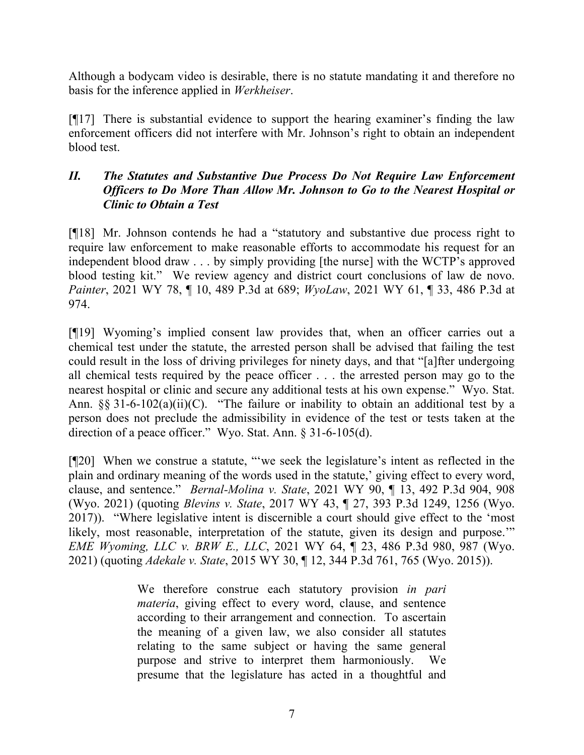Although a bodycam video is desirable, there is no statute mandating it and therefore no basis for the inference applied in *Werkheiser*.

[¶17] There is substantial evidence to support the hearing examiner's finding the law enforcement officers did not interfere with Mr. Johnson's right to obtain an independent blood test.

# *II. The Statutes and Substantive Due Process Do Not Require Law Enforcement Officers to Do More Than Allow Mr. Johnson to Go to the Nearest Hospital or Clinic to Obtain a Test*

[¶18] Mr. Johnson contends he had a "statutory and substantive due process right to require law enforcement to make reasonable efforts to accommodate his request for an independent blood draw . . . by simply providing [the nurse] with the WCTP's approved blood testing kit." We review agency and district court conclusions of law de novo. *Painter*, 2021 WY 78, ¶ 10, 489 P.3d at 689; *WyoLaw*, 2021 WY 61, ¶ 33, 486 P.3d at 974.

[¶19] Wyoming's implied consent law provides that, when an officer carries out a chemical test under the statute, the arrested person shall be advised that failing the test could result in the loss of driving privileges for ninety days, and that "[a]fter undergoing all chemical tests required by the peace officer . . . the arrested person may go to the nearest hospital or clinic and secure any additional tests at his own expense." Wyo. Stat. Ann.  $\S$ § 31-6-102(a)(ii)(C). "The failure or inability to obtain an additional test by a person does not preclude the admissibility in evidence of the test or tests taken at the direction of a peace officer." Wyo. Stat. Ann. § 31-6-105(d).

[¶20] When we construe a statute, "'we seek the legislature's intent as reflected in the plain and ordinary meaning of the words used in the statute,' giving effect to every word, clause, and sentence." *Bernal-Molina v. State*, 2021 WY 90, ¶ 13, 492 P.3d 904, 908 (Wyo. 2021) (quoting *Blevins v. State*, 2017 WY 43, ¶ 27, 393 P.3d 1249, 1256 (Wyo. 2017)). "Where legislative intent is discernible a court should give effect to the 'most likely, most reasonable, interpretation of the statute, given its design and purpose." *EME Wyoming, LLC v. BRW E., LLC*, 2021 WY 64, ¶ 23, 486 P.3d 980, 987 (Wyo. 2021) (quoting *Adekale v. State*, 2015 WY 30, ¶ 12, 344 P.3d 761, 765 (Wyo. 2015)).

> We therefore construe each statutory provision *in pari materia*, giving effect to every word, clause, and sentence according to their arrangement and connection. To ascertain the meaning of a given law, we also consider all statutes relating to the same subject or having the same general purpose and strive to interpret them harmoniously. We presume that the legislature has acted in a thoughtful and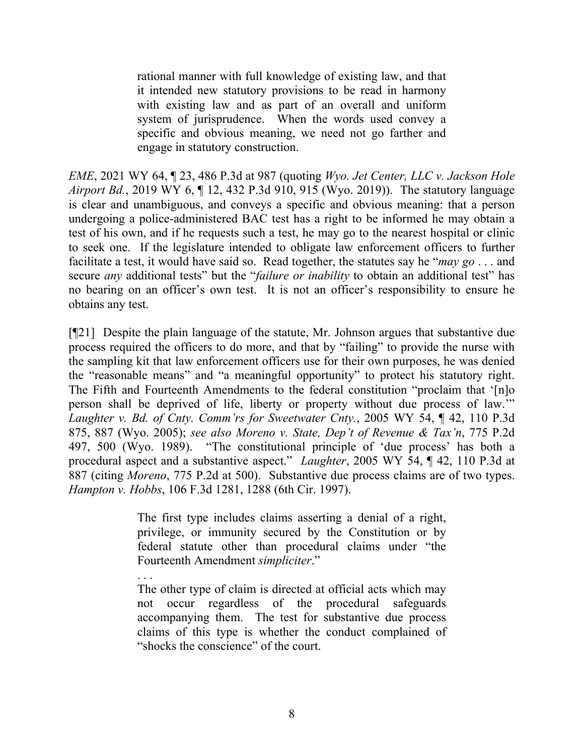rational manner with full knowledge of existing law, and that it intended new statutory provisions to be read in harmony with existing law and as part of an overall and uniform system of jurisprudence. When the words used convey a specific and obvious meaning, we need not go farther and engage in statutory construction.

*EME*, 2021 WY 64, ¶ 23, 486 P.3d at 987 (quoting *Wyo. Jet Center, LLC v. Jackson Hole Airport Bd.*, 2019 WY 6, ¶ 12, 432 P.3d 910, 915 (Wyo. 2019)). The statutory language is clear and unambiguous, and conveys a specific and obvious meaning: that a person undergoing a police-administered BAC test has a right to be informed he may obtain a test of his own, and if he requests such a test, he may go to the nearest hospital or clinic to seek one. If the legislature intended to obligate law enforcement officers to further facilitate a test, it would have said so. Read together, the statutes say he "*may go* . . . and secure *any* additional tests" but the "*failure or inability* to obtain an additional test" has no bearing on an officer's own test. It is not an officer's responsibility to ensure he obtains any test.

[¶21] Despite the plain language of the statute, Mr. Johnson argues that substantive due process required the officers to do more, and that by "failing" to provide the nurse with the sampling kit that law enforcement officers use for their own purposes, he was denied the "reasonable means" and "a meaningful opportunity" to protect his statutory right. The Fifth and Fourteenth Amendments to the federal constitution "proclaim that '[n]o person shall be deprived of life, liberty or property without due process of law.'" *Laughter v. Bd. of Cnty. Comm'rs for Sweetwater Cnty.*, 2005 WY 54, ¶ 42, 110 P.3d 875, 887 (Wyo. 2005); *see also Moreno v. State, Dep't of Revenue & Tax'n*, 775 P.2d 497, 500 (Wyo. 1989). "The constitutional principle of 'due process' has both a procedural aspect and a substantive aspect." *Laughter*, 2005 WY 54, ¶ 42, 110 P.3d at 887 (citing *Moreno*, 775 P.2d at 500). Substantive due process claims are of two types. *Hampton v. Hobbs*, 106 F.3d 1281, 1288 (6th Cir. 1997).

> The first type includes claims asserting a denial of a right, privilege, or immunity secured by the Constitution or by federal statute other than procedural claims under "the Fourteenth Amendment *simpliciter*."

> . . . The other type of claim is directed at official acts which may not occur regardless of the procedural safeguards accompanying them. The test for substantive due process claims of this type is whether the conduct complained of "shocks the conscience" of the court.